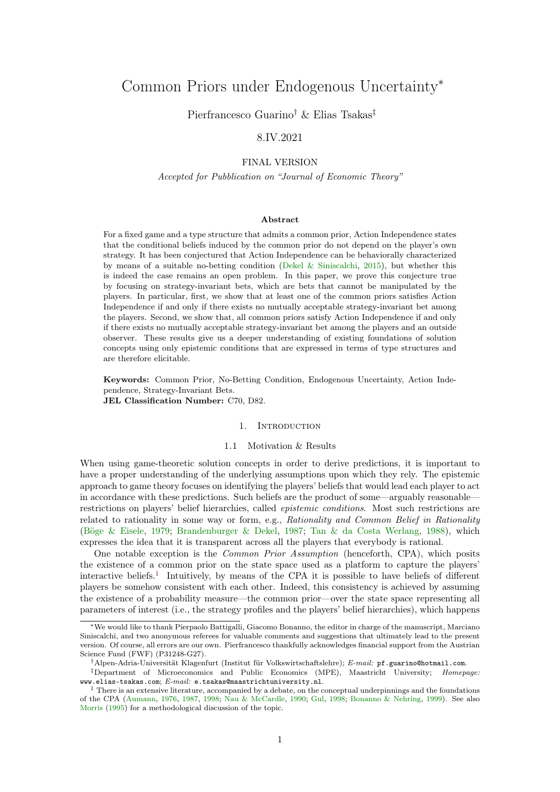# <span id="page-0-1"></span>Common Priors under Endogenous Uncertainty<sup>∗</sup>

Pierfrancesco Guarino† & Elias Tsakas‡

# 8.IV.2021

# FINAL VERSION

Accepted for Pubblication on "Journal of Economic Theory"

# Abstract

For a fixed game and a type structure that admits a common prior, Action Independence states that the conditional beliefs induced by the common prior do not depend on the player's own strategy. It has been conjectured that Action Independence can be behaviorally characterized by means of a suitable no-betting condition [\(Dekel & Siniscalchi,](#page-16-0) [2015\)](#page-16-0), but whether this is indeed the case remains an open problem. In this paper, we prove this conjecture true by focusing on strategy-invariant bets, which are bets that cannot be manipulated by the players. In particular, first, we show that at least one of the common priors satisfies Action Independence if and only if there exists no mutually acceptable strategy-invariant bet among the players. Second, we show that, all common priors satisfy Action Independence if and only if there exists no mutually acceptable strategy-invariant bet among the players and an outside observer. These results give us a deeper understanding of existing foundations of solution concepts using only epistemic conditions that are expressed in terms of type structures and are therefore elicitable.

Keywords: Common Prior, No-Betting Condition, Endogenous Uncertainty, Action Independence, Strategy-Invariant Bets. JEL Classification Number: C70, D82.

# 1. INTRODUCTION

#### 1.1 Motivation & Results

When using game-theoretic solution concepts in order to derive predictions, it is important to have a proper understanding of the underlying assumptions upon which they rely. The epistemic approach to game theory focuses on identifying the players' beliefs that would lead each player to act in accordance with these predictions. Such beliefs are the product of some—arguably reasonable restrictions on players' belief hierarchies, called epistemic conditions. Most such restrictions are related to rationality in some way or form, e.g., Rationality and Common Belief in Rationality [\(Böge & Eisele,](#page-16-1) [1979;](#page-16-1) [Brandenburger & Dekel,](#page-16-2) [1987;](#page-16-2) [Tan & da Costa Werlang,](#page-17-0) [1988\)](#page-17-0), which expresses the idea that it is transparent across all the players that everybody is rational.

One notable exception is the Common Prior Assumption (henceforth, CPA), which posits the existence of a common prior on the state space used as a platform to capture the players' interactive beliefs.<sup>[1](#page-0-0)</sup> Intuitively, by means of the CPA it is possible to have beliefs of different players be somehow consistent with each other. Indeed, this consistency is achieved by assuming the existence of a probability measure—the common prior—over the state space representing all parameters of interest (i.e., the strategy profiles and the players' belief hierarchies), which happens

<sup>∗</sup>We would like to thank Pierpaolo Battigalli, Giacomo Bonanno, the editor in charge of the manuscript, Marciano Siniscalchi, and two anonymous referees for valuable comments and suggestions that ultimately lead to the present version. Of course, all errors are our own. Pierfrancesco thankfully acknowledges financial support from the Austrian Science Fund (FWF) (P31248-G27).

<sup>†</sup>Alpen-Adria-Universität Klagenfurt (Institut für Volkswirtschaftslehre); E-mail: pf.guarino@hotmail.com.

<sup>‡</sup>Department of Microeconomics and Public Economics (MPE), Maastricht University; Homepage: www.elias-tsakas.com; E-mail: e.tsakas@maastrichtuniversity.nl.

<span id="page-0-0"></span><sup>&</sup>lt;sup>1</sup> There is an extensive literature, accompanied by a debate, on the conceptual underpinnings and the foundations of the CPA [\(Aumann,](#page-16-3) [1976,](#page-16-3) [1987,](#page-16-4) [1998;](#page-16-5) [Nau & McCardle,](#page-16-6) [1990;](#page-16-6) [Gul,](#page-16-7) [1998;](#page-16-7) [Bonanno & Nehring,](#page-16-8) [1999\)](#page-16-8). See also [Morris](#page-16-9) [\(1995\)](#page-16-9) for a methodological discussion of the topic.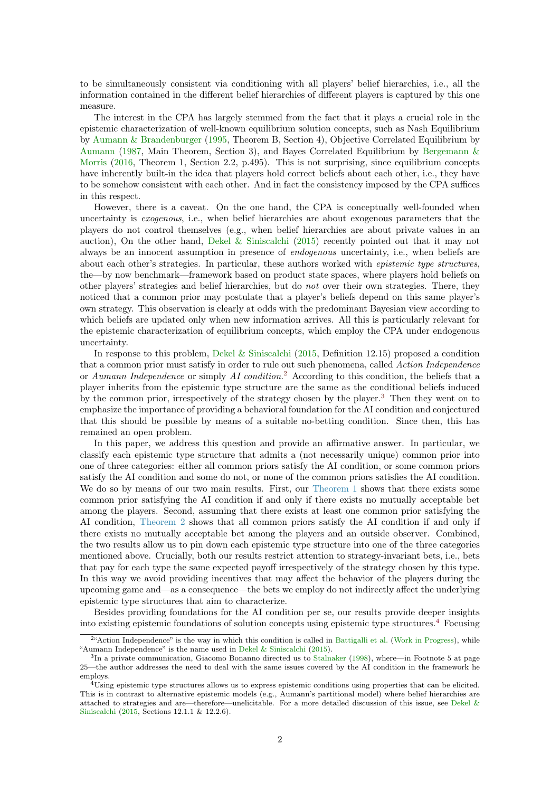<span id="page-1-3"></span>to be simultaneously consistent via conditioning with all players' belief hierarchies, i.e., all the information contained in the different belief hierarchies of different players is captured by this one measure.

The interest in the CPA has largely stemmed from the fact that it plays a crucial role in the epistemic characterization of well-known equilibrium solution concepts, such as Nash Equilibrium by [Aumann & Brandenburger](#page-16-10) [\(1995,](#page-16-10) Theorem B, Section 4), Objective Correlated Equilibrium by [Aumann](#page-16-4) [\(1987,](#page-16-4) Main Theorem, Section 3), and Bayes Correlated Equilibrium by [Bergemann &](#page-16-11) [Morris](#page-16-11) [\(2016,](#page-16-11) Theorem 1, Section 2.2, p.495). This is not surprising, since equilibrium concepts have inherently built-in the idea that players hold correct beliefs about each other, i.e., they have to be somehow consistent with each other. And in fact the consistency imposed by the CPA suffices in this respect.

However, there is a caveat. On the one hand, the CPA is conceptually well-founded when uncertainty is exogenous, i.e., when belief hierarchies are about exogenous parameters that the players do not control themselves (e.g., when belief hierarchies are about private values in an auction), On the other hand, [Dekel & Siniscalchi](#page-16-0) [\(2015\)](#page-16-0) recently pointed out that it may not always be an innocent assumption in presence of endogenous uncertainty, i.e., when beliefs are about each other's strategies. In particular, these authors worked with epistemic type structures, the—by now benchmark—framework based on product state spaces, where players hold beliefs on other players' strategies and belief hierarchies, but do not over their own strategies. There, they noticed that a common prior may postulate that a player's beliefs depend on this same player's own strategy. This observation is clearly at odds with the predominant Bayesian view according to which beliefs are updated only when new information arrives. All this is particularly relevant for the epistemic characterization of equilibrium concepts, which employ the CPA under endogenous uncertainty.

In response to this problem, [Dekel & Siniscalchi](#page-16-0) [\(2015,](#page-16-0) Definition 12.15) proposed a condition that a common prior must satisfy in order to rule out such phenomena, called Action Independence or Aumann Independence or simply AI condition.<sup>[2](#page-1-0)</sup> According to this condition, the beliefs that a player inherits from the epistemic type structure are the same as the conditional beliefs induced by the common prior, irrespectively of the strategy chosen by the player.<sup>[3](#page-1-1)</sup> Then they went on to emphasize the importance of providing a behavioral foundation for the AI condition and conjectured that this should be possible by means of a suitable no-betting condition. Since then, this has remained an open problem.

In this paper, we address this question and provide an affirmative answer. In particular, we classify each epistemic type structure that admits a (not necessarily unique) common prior into one of three categories: either all common priors satisfy the AI condition, or some common priors satisfy the AI condition and some do not, or none of the common priors satisfies the AI condition. We do so by means of our two main results. First, our [Theorem 1](#page-6-0) shows that there exists some common prior satisfying the AI condition if and only if there exists no mutually acceptable bet among the players. Second, assuming that there exists at least one common prior satisfying the AI condition, [Theorem 2](#page-9-0) shows that all common priors satisfy the AI condition if and only if there exists no mutually acceptable bet among the players and an outside observer. Combined, the two results allow us to pin down each epistemic type structure into one of the three categories mentioned above. Crucially, both our results restrict attention to strategy-invariant bets, i.e., bets that pay for each type the same expected payoff irrespectively of the strategy chosen by this type. In this way we avoid providing incentives that may affect the behavior of the players during the upcoming game and—as a consequence—the bets we employ do not indirectly affect the underlying epistemic type structures that aim to characterize.

Besides providing foundations for the AI condition per se, our results provide deeper insights into existing epistemic foundations of solution concepts using epistemic type structures.[4](#page-1-2) Focusing

<span id="page-1-0"></span><sup>&</sup>lt;sup>2</sup>"Action Independence" is the way in which this condition is called in [Battigalli et al.](#page-16-12) [\(Work in Progress\)](#page-16-12), while "Aumann Independence" is the name used in [Dekel & Siniscalchi](#page-16-0) [\(2015\)](#page-16-0).

<span id="page-1-1"></span><sup>&</sup>lt;sup>3</sup>In a private communication, Giacomo Bonanno directed us to [Stalnaker](#page-17-1) [\(1998\)](#page-17-1), where—in Footnote 5 at page 25—the author addresses the need to deal with the same issues covered by the AI condition in the framework he employs.

<span id="page-1-2"></span><sup>&</sup>lt;sup>4</sup>Using epistemic type structures allows us to express epistemic conditions using properties that can be elicited. This is in contrast to alternative epistemic models (e.g., Aumann's partitional model) where belief hierarchies are attached to strategies and are—therefore—unelicitable. For a more detailed discussion of this issue, see [Dekel &](#page-16-0) [Siniscalchi](#page-16-0) [\(2015,](#page-16-0) Sections 12.1.1 & 12.2.6).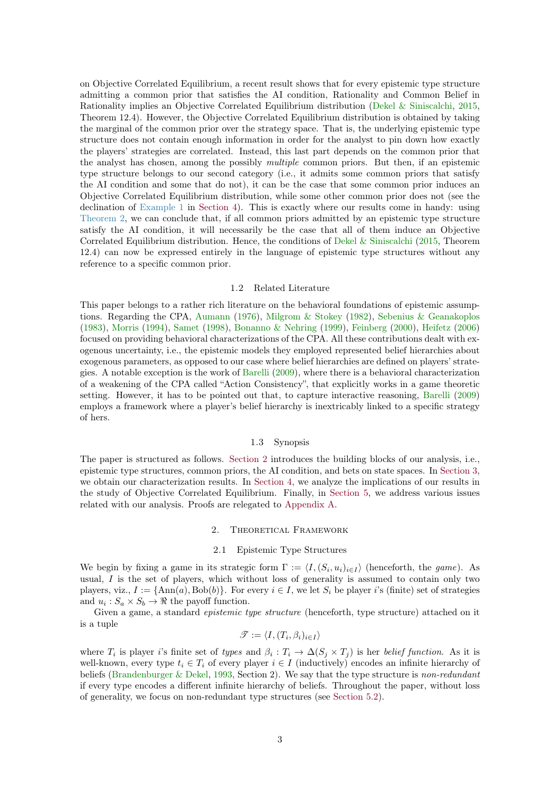<span id="page-2-2"></span>on Objective Correlated Equilibrium, a recent result shows that for every epistemic type structure admitting a common prior that satisfies the AI condition, Rationality and Common Belief in Rationality implies an Objective Correlated Equilibrium distribution [\(Dekel & Siniscalchi,](#page-16-0) [2015,](#page-16-0) Theorem 12.4). However, the Objective Correlated Equilibrium distribution is obtained by taking the marginal of the common prior over the strategy space. That is, the underlying epistemic type structure does not contain enough information in order for the analyst to pin down how exactly the players' strategies are correlated. Instead, this last part depends on the common prior that the analyst has chosen, among the possibly multiple common priors. But then, if an epistemic type structure belongs to our second category (i.e., it admits some common priors that satisfy the AI condition and some that do not), it can be the case that some common prior induces an Objective Correlated Equilibrium distribution, while some other common prior does not (see the declination of [Example 1](#page-3-0) in [Section 4\)](#page-10-0). This is exactly where our results come in handy: using [Theorem 2,](#page-9-0) we can conclude that, if all common priors admitted by an epistemic type structure satisfy the AI condition, it will necessarily be the case that all of them induce an Objective Correlated Equilibrium distribution. Hence, the conditions of [Dekel & Siniscalchi](#page-16-0) [\(2015,](#page-16-0) Theorem 12.4) can now be expressed entirely in the language of epistemic type structures without any reference to a specific common prior.

#### 1.2 Related Literature

This paper belongs to a rather rich literature on the behavioral foundations of epistemic assumptions. Regarding the CPA, [Aumann](#page-16-3) [\(1976\)](#page-16-3), [Milgrom & Stokey](#page-16-13) [\(1982\)](#page-16-13), [Sebenius & Geanakoplos](#page-16-14) [\(1983\)](#page-16-14), [Morris](#page-16-15) [\(1994\)](#page-16-15), [Samet](#page-16-16) [\(1998\)](#page-16-16), [Bonanno & Nehring](#page-16-8) [\(1999\)](#page-16-8), [Feinberg](#page-16-17) [\(2000\)](#page-16-17), [Heifetz](#page-16-18) [\(2006\)](#page-16-18) focused on providing behavioral characterizations of the CPA. All these contributions dealt with exogenous uncertainty, i.e., the epistemic models they employed represented belief hierarchies about exogenous parameters, as opposed to our case where belief hierarchies are defined on players' strategies. A notable exception is the work of [Barelli](#page-16-19) [\(2009\)](#page-16-19), where there is a behavioral characterization of a weakening of the CPA called "Action Consistency", that explicitly works in a game theoretic setting. However, it has to be pointed out that, to capture interactive reasoning, [Barelli](#page-16-19) [\(2009\)](#page-16-19) employs a framework where a player's belief hierarchy is inextricably linked to a specific strategy of hers.

# 1.3 Synopsis

The paper is structured as follows. [Section 2](#page-2-0) introduces the building blocks of our analysis, i.e., epistemic type structures, common priors, the AI condition, and bets on state spaces. In [Section 3,](#page-6-1) we obtain our characterization results. In [Section 4,](#page-10-0) we analyze the implications of our results in the study of Objective Correlated Equilibrium. Finally, in [Section 5,](#page-12-0) we address various issues related with our analysis. Proofs are relegated to [Appendix A.](#page-13-0)

#### 2. Theoretical Framework

# 2.1 Epistemic Type Structures

<span id="page-2-1"></span><span id="page-2-0"></span>We begin by fixing a game in its strategic form  $\Gamma := \langle I, (S_i, u_i)_{i \in I} \rangle$  (henceforth, the game). As usual,  $I$  is the set of players, which without loss of generality is assumed to contain only two players, viz.,  $I := \{ \text{Ann}(a), \text{Bob}(b) \}.$  For every  $i \in I$ , we let  $S_i$  be player i's (finite) set of strategies and  $u_i: S_a \times S_b \to \Re$  the payoff function.

Given a game, a standard *epistemic type structure* (henceforth, type structure) attached on it is a tuple

$$
\mathscr{T} := \langle I, (T_i, \beta_i)_{i \in I} \rangle
$$

where  $T_i$  is player i's finite set of types and  $\beta_i: T_i \to \Delta(S_j \times T_j)$  is her belief function. As it is well-known, every type  $t_i \in T_i$  of every player  $i \in I$  (inductively) encodes an infinite hierarchy of beliefs [\(Brandenburger & Dekel,](#page-16-20) [1993,](#page-16-20) Section 2). We say that the type structure is non-redundant if every type encodes a different infinite hierarchy of beliefs. Throughout the paper, without loss of generality, we focus on non-redundant type structures (see [Section 5.2\)](#page-12-1).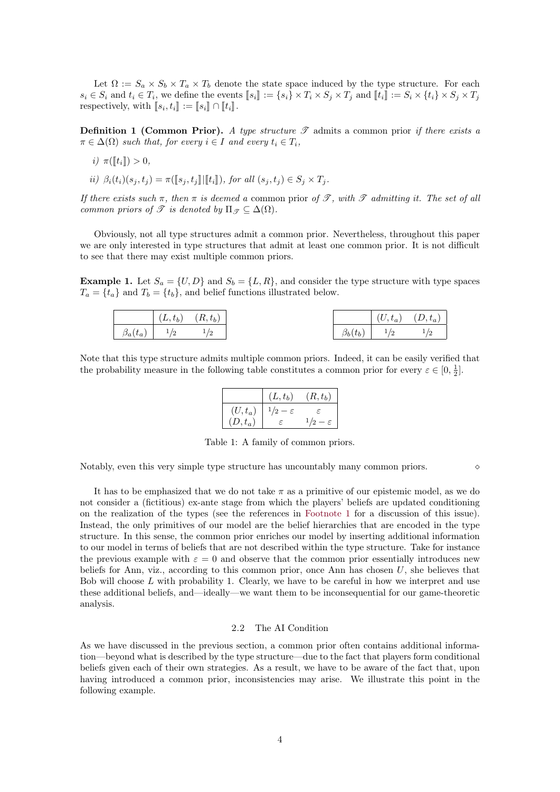Let  $\Omega := S_a \times S_b \times T_a \times T_b$  denote the state space induced by the type structure. For each  $s_i \in S_i$  and  $t_i \in T_i$ , we define the events  $[s_i] := \{s_i\} \times T_i \times S_j \times T_j$  and  $[[t_i]] := S_i \times \{t_i\} \times S_j \times T_j$ <br>representively with  $[[s_i, t_i]] := [[s_i]] \cap [[t_i]]$ respectively, with  $[s_i, t_i] := [s_i] \cap [t_i].$ 

**Definition 1 (Common Prior).** A type structure  $\mathscr T$  admits a common prior if there exists a  $\pi \in \Delta(\Omega)$  such that, for every  $i \in I$  and every  $t_i \in T_i$ ,

$$
i)\ \pi([\![t_i]\!])>0,
$$

ii)  $\beta_i(t_i)(s_j, t_j) = \pi(\llbracket s_j, t_j \rrbracket | \llbracket t_i \rrbracket),$  for all  $(s_j, t_j) \in S_j \times T_j$ .

If there exists such  $\pi$ , then  $\pi$  is deemed a common prior of  $\mathscr{T}$ , with  $\mathscr{T}$  admitting it. The set of all common priors of  $\mathscr T$  is denoted by  $\Pi_{\mathscr T} \subseteq \Delta(\Omega)$ .

Obviously, not all type structures admit a common prior. Nevertheless, throughout this paper we are only interested in type structures that admit at least one common prior. It is not difficult to see that there may exist multiple common priors.

<span id="page-3-0"></span>**Example 1.** Let  $S_a = \{U, D\}$  and  $S_b = \{L, R\}$ , and consider the type structure with type spaces  $T_a = \{t_a\}$  and  $T_b = \{t_b\}$ , and belief functions illustrated below.

|                | $(L, t_b)$ | $(R, t_b)$ |                | $(U,t_a)$ | $(D,t_a)$ |
|----------------|------------|------------|----------------|-----------|-----------|
| $\beta_a(t_a)$ | 1/2<br>. . |            | $\beta_b(t_b)$ | 1/2<br>-  |           |

Note that this type structure admits multiple common priors. Indeed, it can be easily verified that the probability measure in the following table constitutes a common prior for every  $\varepsilon \in [0, \frac{1}{2}]$ .

|           | $(L,t_b)$ | $(R, t_b)$ |
|-----------|-----------|------------|
| $(U,t_a)$ |           |            |
| $(D,t_a)$ | F.        |            |

<span id="page-3-1"></span>Table 1: A family of common priors.

Notably, even this very simple type structure has uncountably many common priors.

It has to be emphasized that we do not take  $\pi$  as a primitive of our epistemic model, as we do not consider a (fictitious) ex-ante stage from which the players' beliefs are updated conditioning on the realization of the types (see the references in [Footnote 1](#page-0-0) for a discussion of this issue). Instead, the only primitives of our model are the belief hierarchies that are encoded in the type structure. In this sense, the common prior enriches our model by inserting additional information to our model in terms of beliefs that are not described within the type structure. Take for instance the previous example with  $\varepsilon = 0$  and observe that the common prior essentially introduces new beliefs for Ann, viz., according to this common prior, once Ann has chosen  $U$ , she believes that Bob will choose  $L$  with probability 1. Clearly, we have to be careful in how we interpret and use these additional beliefs, and—ideally—we want them to be inconsequential for our game-theoretic analysis.

#### 2.2 The AI Condition

As we have discussed in the previous section, a common prior often contains additional information—beyond what is described by the type structure—due to the fact that players form conditional beliefs given each of their own strategies. As a result, we have to be aware of the fact that, upon having introduced a common prior, inconsistencies may arise. We illustrate this point in the following example.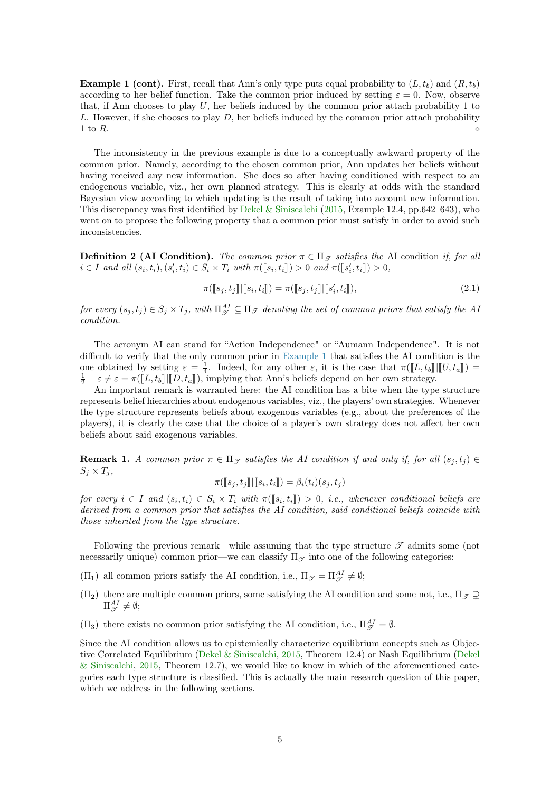<span id="page-4-1"></span>**Example 1 (cont).** First, recall that Ann's only type puts equal probability to  $(L, t_b)$  and  $(R, t_b)$ according to her belief function. Take the common prior induced by setting  $\varepsilon = 0$ . Now, observe that, if Ann chooses to play  $U$ , her beliefs induced by the common prior attach probability 1 to  $L$ . However, if she chooses to play  $D$ , her beliefs induced by the common prior attach probability 1 to R.

The inconsistency in the previous example is due to a conceptually awkward property of the common prior. Namely, according to the chosen common prior, Ann updates her beliefs without having received any new information. She does so after having conditioned with respect to an endogenous variable, viz., her own planned strategy. This is clearly at odds with the standard Bayesian view according to which updating is the result of taking into account new information. This discrepancy was first identified by [Dekel & Siniscalchi](#page-16-0) [\(2015,](#page-16-0) Example 12.4, pp.642–643), who went on to propose the following property that a common prior must satisfy in order to avoid such inconsistencies.

**Definition 2 (AI Condition).** The common prior  $\pi \in \Pi_{\mathcal{F}}$  satisfies the AI condition if, for all  $i \in I$  and all  $(s_i, t_i), (s'_i, t_i) \in S_i \times T_i$  with  $\pi([\![s_i, t_i]\!]) > 0$  and  $\pi([\![s'_i, t_i]\!]) > 0$ ,

$$
\pi([\![s_j, t_j]\!][\![s_i, t_i]\!]) = \pi([\![s_j, t_j]\!][\![s'_i, t_i]\!]),\tag{2.1}
$$

for every  $(s_j,t_j) \in S_j \times T_j$ , with  $\Pi_{\mathscr{T}}^{AI} \subseteq \Pi_{\mathscr{T}}$  denoting the set of common priors that satisfy the Al condition.

The acronym AI can stand for "Action Independence" or "Aumann Independence". It is not difficult to verify that the only common prior in [Example 1](#page-3-0) that satisfies the AI condition is the one obtained by setting  $\varepsilon = \frac{1}{4}$ . Indeed, for any other  $\varepsilon$ , it is the case that  $\pi([\![L, t_b]\!] | [\![U, t_a]\!]) = \frac{1}{2} - \varepsilon \neq \varepsilon = \pi([\![L, t_b]\!] | [\![D, t_a]\!])$ , implying that Ann's beliefs depend on her own strategy.

An important remark is warranted here: the AI condition has a bite when the type structure represents belief hierarchies about endogenous variables, viz., the players' own strategies. Whenever the type structure represents beliefs about exogenous variables (e.g., about the preferences of the players), it is clearly the case that the choice of a player's own strategy does not affect her own beliefs about said exogenous variables.

<span id="page-4-0"></span>**Remark 1.** A common prior  $\pi \in \Pi_{\mathcal{F}}$  satisfies the AI condition if and only if, for all  $(s_i, t_j) \in$  $S_i \times T_i$ 

$$
\pi([\![s_j,t_j]\!][\![s_i,t_i]\!]) = \beta_i(t_i)(s_j,t_j)
$$

for every  $i \in I$  and  $(s_i, t_i) \in S_i \times T_i$  with  $\pi([\![s_i, t_i]\!]) > 0$ , i.e., whenever conditional beliefs are<br>derived from a semman prior that estisfies the AL condition esid conditional beliefs soingide with derived from a common prior that satisfies the AI condition, said conditional beliefs coincide with those inherited from the type structure.

Following the previous remark—while assuming that the type structure  $\mathscr T$  admits some (not necessarily unique) common prior—we can classify  $\Pi_{\mathscr{T}}$  into one of the following categories:

- $(\Pi_1)$  all common priors satisfy the AI condition, i.e.,  $\Pi_{\mathscr{T}} = \Pi_{\mathscr{T}}^{AI} \neq \emptyset$ ;
- $(\Pi_2)$  there are multiple common priors, some satisfying the AI condition and some not, i.e.,  $\Pi_{\mathscr{F}} \supset$  $\Pi_{\mathscr{T}}^{AI}\neq\emptyset;$
- $(\Pi_3)$  there exists no common prior satisfying the AI condition, i.e.,  $\Pi_{\mathscr{T}}^{AI} = \emptyset$ .

Since the AI condition allows us to epistemically characterize equilibrium concepts such as Objective Correlated Equilibrium [\(Dekel & Siniscalchi,](#page-16-0) [2015,](#page-16-0) Theorem 12.4) or Nash Equilibrium [\(Dekel](#page-16-0) [& Siniscalchi,](#page-16-0) [2015,](#page-16-0) Theorem 12.7), we would like to know in which of the aforementioned categories each type structure is classified. This is actually the main research question of this paper, which we address in the following sections.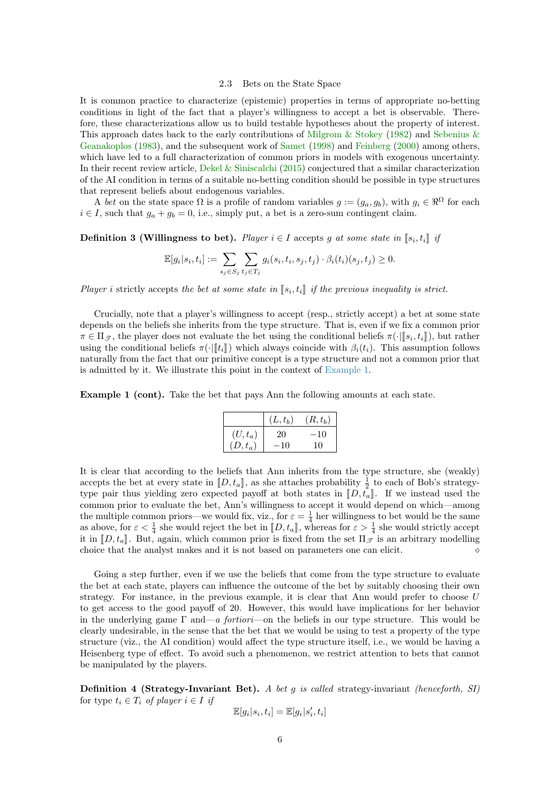#### 2.3 Bets on the State Space

<span id="page-5-0"></span>It is common practice to characterize (epistemic) properties in terms of appropriate no-betting conditions in light of the fact that a player's willingness to accept a bet is observable. Therefore, these characterizations allow us to build testable hypotheses about the property of interest. This approach dates back to the early contributions of [Milgrom & Stokey](#page-16-13) [\(1982\)](#page-16-13) and [Sebenius &](#page-16-14) [Geanakoplos](#page-16-14) [\(1983\)](#page-16-14), and the subsequent work of [Samet](#page-16-16) [\(1998\)](#page-16-16) and [Feinberg](#page-16-17) [\(2000\)](#page-16-17) among others, which have led to a full characterization of common priors in models with exogenous uncertainty. In their recent review article, [Dekel & Siniscalchi](#page-16-0) [\(2015\)](#page-16-0) conjectured that a similar characterization of the AI condition in terms of a suitable no-betting condition should be possible in type structures that represent beliefs about endogenous variables.

A bet on the state space  $\Omega$  is a profile of random variables  $g := (g_a, g_b)$ , with  $g_i \in \mathbb{R}^{\Omega}$  for each  $i \in I$ , such that  $g_a + g_b = 0$ , i.e., simply put, a bet is a zero-sum contingent claim.

**Definition 3 (Willingness to bet).** Player  $i \in I$  accepts g at some state in  $[s_i, t_i]$  is

$$
\mathbb{E}[g_i|s_i,t_i] := \sum_{s_j \in S_j} \sum_{t_j \in T_j} g_i(s_i,t_i,s_j,t_j) \cdot \beta_i(t_i)(s_j,t_j) \geq 0.
$$

Player i strictly accepts the bet at some state in  $[\![s_i, t_i]\!]$  if the previous inequality is strict.

Crucially, note that a player's willingness to accept (resp., strictly accept) a bet at some state depends on the beliefs she inherits from the type structure. That is, even if we fix a common prior  $\pi \in \Pi_{\mathscr{T}}$ , the player does not evaluate the bet using the conditional beliefs  $\pi(\cdot | [s_i, t_i])$ , but rather<br>using the conditional beliefs  $\pi(\cdot | [t_i])$  which always coincide with  $\beta_i(t_i)$ . This assumption follows using the conditional beliefs  $\pi(\cdot \|t_i\|)$  which always coincide with  $\beta_i(t_i)$ . This assumption follows naturally from the fact that our primitive concept is a type structure and not a common prior that is admitted by it. We illustrate this point in the context of [Example 1.](#page-3-0)

Example 1 (cont). Take the bet that pays Ann the following amounts at each state.

|           | $(L,t_b)$ | $(R, t_b)$ |
|-----------|-----------|------------|
| $(U,t_a)$ | 20        | $-10$      |
| $(D,t_a)$ | $-10$     | 10         |

It is clear that according to the beliefs that Ann inherits from the type structure, she (weakly) accepts the bet at every state in  $[D, t_a]$ , as she attaches probability  $\frac{1}{2}$  to each of Bob's strategy-<br>type pair thus violding zero expected payoff at both states in  $[D, t]$ . If we instead used the type pair thus yielding zero expected payoff at both states in  $[D, t_a]$ . If we instead used the common prior to evaluate the bet, Ann's willingness to accept it would depend on which—among the multiple common priors—we would fix, viz., for  $\varepsilon = \frac{1}{4}$  her willingness to bet would be the same as above, for  $\varepsilon < \frac{1}{4}$  she would reject the bet in  $[[D, t_a]],$  whereas for  $\varepsilon > \frac{1}{4}$  she would strictly accept<br>it in  $[[D, t]]$ . But again, which common prior is fixed from the set  $[[\alpha, t]]$  is an arbitrary modelling it in  $[D, t_a]$ . But, again, which common prior is fixed from the set  $\Pi_{\mathscr{T}}$  is an arbitrary modelling choice that the analyst makes and it is not based on parameters one can elicit choice that the analyst makes and it is not based on parameters one can elicit.

Going a step further, even if we use the beliefs that come from the type structure to evaluate the bet at each state, players can influence the outcome of the bet by suitably choosing their own strategy. For instance, in the previous example, it is clear that Ann would prefer to choose U to get access to the good payoff of 20. However, this would have implications for her behavior in the underlying game  $\Gamma$  and—a fortiori—on the beliefs in our type structure. This would be clearly undesirable, in the sense that the bet that we would be using to test a property of the type structure (viz., the AI condition) would affect the type structure itself, i.e., we would be having a Heisenberg type of effect. To avoid such a phenomenon, we restrict attention to bets that cannot be manipulated by the players.

**Definition 4 (Strategy-Invariant Bet).** A bet q is called strategy-invariant (henceforth, SI) for type  $t_i \in T_i$  of player  $i \in I$  if

$$
\mathbb{E}[g_i|s_i,t_i] = \mathbb{E}[g_i|s_i',t_i]
$$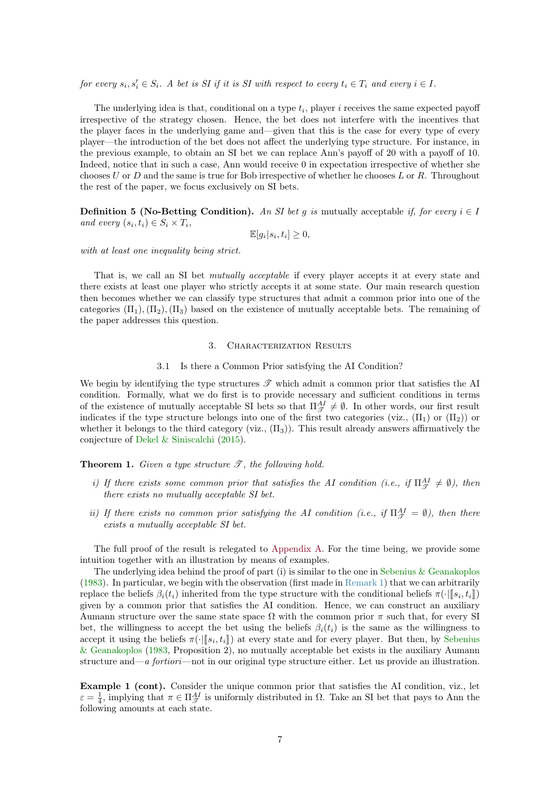<span id="page-6-2"></span>for every  $s_i, s'_i \in S_i$ . A bet is SI if it is SI with respect to every  $t_i \in T_i$  and every  $i \in I$ .

The underlying idea is that, conditional on a type  $t_i$ , player i receives the same expected payoff irrespective of the strategy chosen. Hence, the bet does not interfere with the incentives that the player faces in the underlying game and—given that this is the case for every type of every player—the introduction of the bet does not affect the underlying type structure. For instance, in the previous example, to obtain an SI bet we can replace Ann's payoff of 20 with a payoff of 10. Indeed, notice that in such a case, Ann would receive 0 in expectation irrespective of whether she chooses  $U$  or  $D$  and the same is true for Bob irrespective of whether he chooses  $L$  or  $R$ . Throughout the rest of the paper, we focus exclusively on SI bets.

**Definition 5 (No-Betting Condition).** An SI bet q is mutually acceptable if, for every  $i \in I$ and every  $(s_i, t_i) \in S_i \times T_i$ ,

$$
\mathbb{E}[g_i|s_i, t_i] \ge 0,
$$

with at least one inequality being strict.

That is, we call an SI bet mutually acceptable if every player accepts it at every state and there exists at least one player who strictly accepts it at some state. Our main research question then becomes whether we can classify type structures that admit a common prior into one of the categories  $(\Pi_1), (\Pi_2), (\Pi_3)$  based on the existence of mutually acceptable bets. The remaining of the paper addresses this question.

## 3. Characterization Results

# 3.1 Is there a Common Prior satisfying the AI Condition?

<span id="page-6-1"></span>We begin by identifying the type structures  $\mathscr T$  which admit a common prior that satisfies the AI condition. Formally, what we do first is to provide necessary and sufficient conditions in terms of the existence of mutually acceptable SI bets so that  $\Pi_{\mathcal{T}}^{AI} \neq \emptyset$ . In other words, our first result indicates if the type structure belongs into one of the first two categories (viz.,  $(\Pi_1)$ ) or  $(\Pi_2)$ ) or whether it belongs to the third category (viz.,  $(\Pi_3)$ ). This result already answers affirmatively the conjecture of [Dekel & Siniscalchi](#page-16-0) [\(2015\)](#page-16-0).

<span id="page-6-0"></span>**Theorem 1.** Given a type structure  $\mathscr{T}$ , the following hold.

- i) If there exists some common prior that satisfies the AI condition (i.e., if  $\Pi_{\mathcal{F}}^{AI} \neq \emptyset$ ), then there exists no mutually acceptable SI bet.
- ii) If there exists no common prior satisfying the AI condition (i.e., if  $\Pi_{\mathscr{T}}^{AI} = \emptyset$ ), then there exists a mutually acceptable SI bet.

The full proof of the result is relegated to [Appendix A.](#page-13-0) For the time being, we provide some intuition together with an illustration by means of examples.

The underlying idea behind the proof of part (i) is similar to the one in [Sebenius & Geanakoplos](#page-16-14) [\(1983\)](#page-16-14). In particular, we begin with the observation (first made in [Remark 1\)](#page-4-0) that we can arbitrarily replace the beliefs  $\beta_i(t_i)$  inherited from the type structure with the conditional beliefs  $\pi(\cdot | [s_i, t_i])$ given by a common prior that satisfies the AI condition. Hence, we can construct an auxiliary Aumann structure over the same state space  $\Omega$  with the common prior  $\pi$  such that, for every SI bet, the willingness to accept the bet using the beliefs  $\beta_i(t_i)$  is the same as the willingness to accept it using the beliefs  $\pi(\cdot | [s_i, t_i])$  at every state and for every player. But then, by [Sebenius](#page-16-14)<br>fr Coanakoplas (1983, Proposition 2), no mutually acceptable bet evident in the auxiliary Aumann [& Geanakoplos](#page-16-14) [\(1983,](#page-16-14) Proposition 2), no mutually acceptable bet exists in the auxiliary Aumann structure and—a fortiori—not in our original type structure either. Let us provide an illustration.

Example 1 (cont). Consider the unique common prior that satisfies the AI condition, viz., let  $\varepsilon = \frac{1}{4}$ , implying that  $\pi \in \Pi_{\mathcal{T}}^{AI}$  is uniformly distributed in  $\Omega$ . Take an SI bet that pays to Ann the following amounts at each state.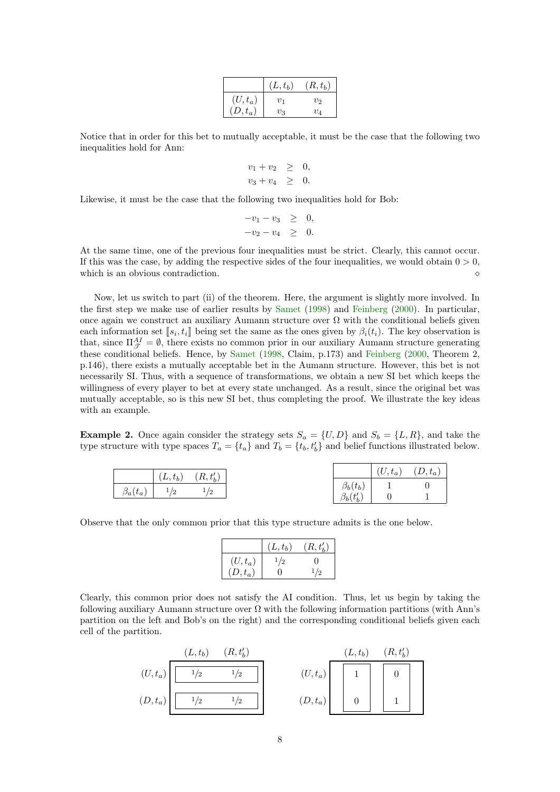|           | $(L,t_b)$ | $(R, t_b)$ |
|-----------|-----------|------------|
| $(U,t_a)$ | $v_1$     | $v_2$      |
| $(D,t_a)$ | $v_3$     | $v_4$      |

<span id="page-7-0"></span>Notice that in order for this bet to mutually acceptable, it must be the case that the following two inequalities hold for Ann:

$$
v_1 + v_2 \geq 0,
$$
  

$$
v_3 + v_4 \geq 0.
$$

Likewise, it must be the case that the following two inequalities hold for Bob:

$$
-v_1 - v_3 \geq 0, \n-v_2 - v_4 \geq 0.
$$

At the same time, one of the previous four inequalities must be strict. Clearly, this cannot occur. If this was the case, by adding the respective sides of the four inequalities, we would obtain  $0 > 0$ , which is an obvious contradiction.

Now, let us switch to part (ii) of the theorem. Here, the argument is slightly more involved. In the first step we make use of earlier results by [Samet](#page-16-16) [\(1998\)](#page-16-16) and [Feinberg](#page-16-17) [\(2000\)](#page-16-17). In particular, once again we construct an auxiliary Aumann structure over  $\Omega$  with the conditional beliefs given each information set  $[s_i, t_i]$  being set the same as the ones given by  $\beta_i(t_i)$ . The key observation is<br>that since  $\Pi^{AI} = \emptyset$  there exists no common prior in our auxiliary Aumann structure concreting that, since  $\Pi_{\mathscr{T}}^{AI} = \emptyset$ , there exists no common prior in our auxiliary Aumann structure generating these conditional beliefs. Hence, by [Samet](#page-16-16) [\(1998,](#page-16-16) Claim, p.173) and [Feinberg](#page-16-17) [\(2000,](#page-16-17) Theorem 2, p.146), there exists a mutually acceptable bet in the Aumann structure. However, this bet is not necessarily SI. Thus, with a sequence of transformations, we obtain a new SI bet which keeps the willingness of every player to bet at every state unchanged. As a result, since the original bet was mutually acceptable, so is this new SI bet, thus completing the proof. We illustrate the key ideas with an example.

**Example 2.** Once again consider the strategy sets  $S_a = \{U, D\}$  and  $S_b = \{L, R\}$ , and take the type structure with type spaces  $T_a = \{t_a\}$  and  $T_b = \{t_b, t'_b\}$  and belief functions illustrated below.

|                | $(L,t_b)$                   | $(R,t_b)$ |                 | $(U,t_a)$ | $(D,t_a)$ |
|----------------|-----------------------------|-----------|-----------------|-----------|-----------|
|                |                             |           | $\beta_b(t_b)$  |           |           |
| $\beta_a(t_a)$ | $\sqrt{2}$<br><b>+</b><br>▵ |           | $\beta_b(t'_b)$ |           |           |

Observe that the only common prior that this type structure admits is the one below.

|            | $(L,t_b)$ | $(R, t'_b)$       |
|------------|-----------|-------------------|
| $(U,t_a)$  | 1/2       | $\mathbf{\Omega}$ |
| $(D, t_a)$ |           |                   |

Clearly, this common prior does not satisfy the AI condition. Thus, let us begin by taking the following auxiliary Aumann structure over  $\Omega$  with the following information partitions (with Ann's partition on the left and Bob's on the right) and the corresponding conditional beliefs given each cell of the partition.

|            | $(L, t_b)$ | $(R, t'_h)$ |            | $(L, t_b)$ | $(R, t'_b)$ |
|------------|------------|-------------|------------|------------|-------------|
| $(U, t_a)$ | 1/2        | /2          | $(U, t_a)$ |            |             |
| $(D, t_a)$ | 1/2        | /2          | $(D,t_a)$  |            |             |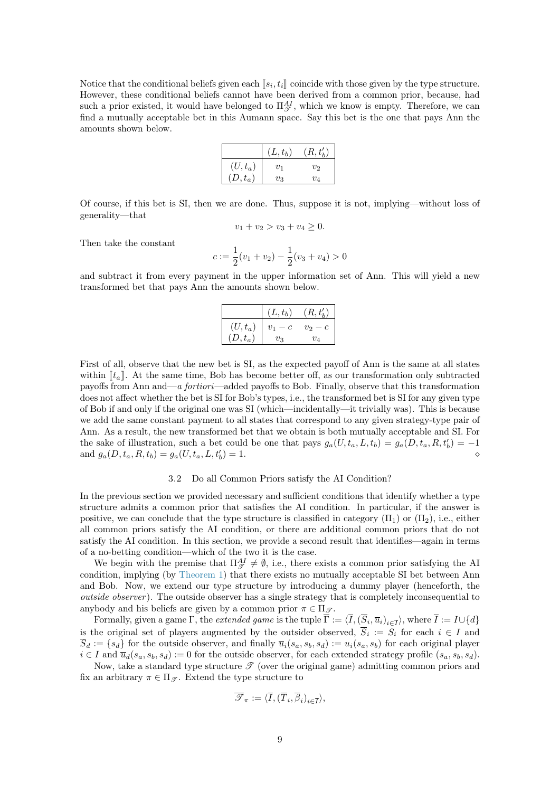Notice that the conditional beliefs given each  $[s_i, t_i]$  coincide with those given by the type structure.<br>However, those conditional beliefs cannot have been derived from a common prior, because, had However, these conditional beliefs cannot have been derived from a common prior, because, had such a prior existed, it would have belonged to  $\Pi_{\mathscr{T}}^{AI}$ , which we know is empty. Therefore, we can find a mutually acceptable bet in this Aumann space. Say this bet is the one that pays Ann the amounts shown below.

|           | $(L, t_b)$         | $(R, t'_h)$ |
|-----------|--------------------|-------------|
| $(U,t_a)$ | $\scriptstyle v_1$ | $v_2$       |
| $(D,t_a)$ | Vз                 | $v_4$       |

Of course, if this bet is SI, then we are done. Thus, suppose it is not, implying—without loss of generality—that

$$
v_1 + v_2 > v_3 + v_4 \ge 0.
$$

Then take the constant

$$
c := \frac{1}{2}(v_1 + v_2) - \frac{1}{2}(v_3 + v_4) > 0
$$

and subtract it from every payment in the upper information set of Ann. This will yield a new transformed bet that pays Ann the amounts shown below.

|           | $(L,t_b)$ | $(R, t'_{h})$ |
|-----------|-----------|---------------|
| $(U,t_a)$ | $v_1-c$   | $v_2-c$       |
| $(D,t_a)$ | $v_3$     | $v_A$         |

First of all, observe that the new bet is SI, as the expected payoff of Ann is the same at all states within  $\llbracket t_a \rrbracket$ . At the same time, Bob has become better off, as our transformation only subtracted payoffs from Ann and—a fortiori—added payoffs to Bob. Finally, observe that this transformation does not affect whether the bet is SI for Bob's types, i.e., the transformed bet is SI for any given type of Bob if and only if the original one was SI (which—incidentally—it trivially was). This is because we add the same constant payment to all states that correspond to any given strategy-type pair of Ann. As a result, the new transformed bet that we obtain is both mutually acceptable and SI. For the sake of illustration, such a bet could be one that pays  $g_a(U, t_a, L, t_b) = g_a(D, t_a, R, t'_b) = -1$ and  $g_a(D, t_a, R, t_b) = g_a(U, t_a, L, t'_b)$  $) = 1.$ 

# 3.2 Do all Common Priors satisfy the AI Condition?

In the previous section we provided necessary and sufficient conditions that identify whether a type structure admits a common prior that satisfies the AI condition. In particular, if the answer is positive, we can conclude that the type structure is classified in category  $(\Pi_1)$  or  $(\Pi_2)$ , i.e., either all common priors satisfy the AI condition, or there are additional common priors that do not satisfy the AI condition. In this section, we provide a second result that identifies—again in terms of a no-betting condition—which of the two it is the case.

We begin with the premise that  $\Pi_{\mathcal{T}}^{\{A\}} \neq \emptyset$ , i.e., there exists a common prior satisfying the AI condition, implying (by [Theorem 1\)](#page-6-0) that there exists no mutually acceptable SI bet between Ann and Bob. Now, we extend our type structure by introducing a dummy player (henceforth, the outside observer ). The outside observer has a single strategy that is completely inconsequential to anybody and his beliefs are given by a common prior  $\pi \in \Pi_{\mathcal{F}}$ .

Formally, given a game  $\Gamma$ , the *extended game* is the tuple  $\overline{\Gamma} := \langle \overline{I}, (\overline{S}_i, \overline{u}_i)_{i \in \overline{I}} \rangle$ , where  $\overline{I} := I \cup \{d\}$ is the original set of players augmented by the outsider observed,  $\overline{S}_i := S_i$  for each  $i \in I$  and  $\overline{S}_d := \{s_d\}$  for the outside observer, and finally  $\overline{u}_i(s_a, s_b, s_d) := u_i(s_a, s_b)$  for each original player  $i \in I$  and  $\overline{u}_d(s_a, s_b, s_d) := 0$  for the outside observer, for each extended strategy profile  $(s_a, s_b, s_d)$ .

Now, take a standard type structure  $\mathscr T$  (over the original game) admitting common priors and fix an arbitrary  $\pi \in \Pi_{\mathscr{T}}$ . Extend the type structure to

$$
\overline{\mathscr{T}}_\pi:=\langle \overline{I}, (\overline{T}_i,\overline{\beta}_i)_{i\in \overline{I}}\rangle,
$$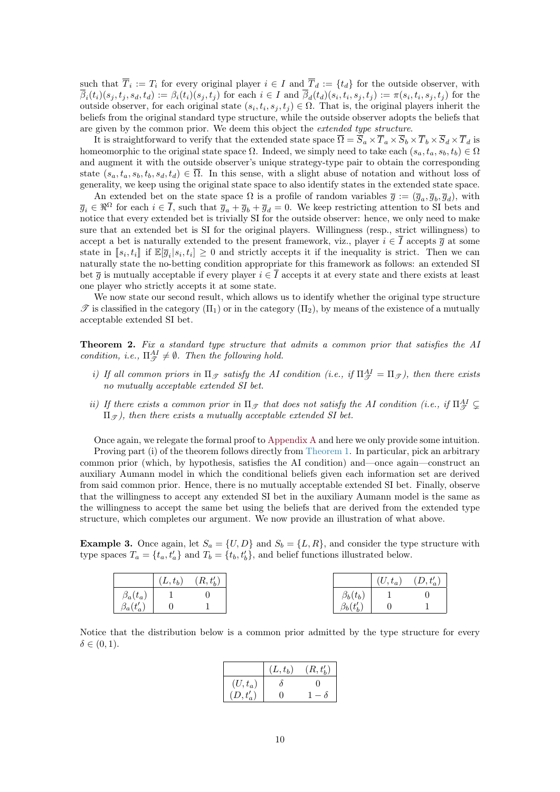such that  $T_i := T_i$  for every original player  $i \in I$  and  $T_d := \{t_d\}$  for the outside observer, with  $\overline{\beta}_i(t_i)(s_j,t_j,s_d,t_d) := \beta_i(t_i)(s_j,t_j)$  for each  $i \in I$  and  $\overline{\beta}_d(t_d)(s_i,t_i,s_j,t_j) := \pi(s_i,t_i,s_j,t_j)$  for the outside observer, for each original state  $(s_i, t_i, s_j, t_j) \in \Omega$ . That is, the original players inherit the beliefs from the original standard type structure, while the outside observer adopts the beliefs that are given by the common prior. We deem this object the extended type structure.

It is straightforward to verify that the extended state space  $\overline{\Omega} = \overline{S}_a \times \overline{T}_a \times \overline{S}_b \times \overline{T}_b \times \overline{S}_d \times \overline{T}_d$  is homeomorphic to the original state space  $\Omega$ . Indeed, we simply need to take each  $(s_a, t_a, s_b, t_b) \in \Omega$ and augment it with the outside observer's unique strategy-type pair to obtain the corresponding state  $(s_a, t_a, s_b, t_b, s_d, t_d) \in \overline{\Omega}$ . In this sense, with a slight abuse of notation and without loss of generality, we keep using the original state space to also identify states in the extended state space.

An extended bet on the state space  $\Omega$  is a profile of random variables  $\bar{g} := (\bar{g}_a, \bar{g}_b, \bar{g}_d)$ , with  $\overline{g}_i \in \Re^{\Omega}$  for each  $i \in \overline{I}$ , such that  $\overline{g}_a + \overline{g}_b + \overline{g}_d = 0$ . We keep restricting attention to SI bets and notice that every extended bet is trivially SI for the outside observer: hence, we only need to make sure that an extended bet is SI for the original players. Willingness (resp., strict willingness) to accept a bet is naturally extended to the present framework, viz., player  $i \in \overline{I}$  accepts  $\overline{g}$  at some state in  $[s_i, t_i]$  if  $\mathbb{E}[\overline{g}_i | s_i, t_i] \geq 0$  and strictly accepts it if the inequality is strict. Then we can<br>naturally state the no betting condition appropriate for this framework as follows: an ortanded SI naturally state the no-betting condition appropriate for this framework as follows: an extended SI bet  $\overline{q}$  is mutually acceptable if every player  $i \in \overline{I}$  accepts it at every state and there exists at least one player who strictly accepts it at some state.

We now state our second result, which allows us to identify whether the original type structure  $\mathscr{T}$  is classified in the category  $(\Pi_1)$  or in the category  $(\Pi_2)$ , by means of the existence of a mutually acceptable extended SI bet.

<span id="page-9-0"></span>Theorem 2. Fix a standard type structure that admits a common prior that satisfies the AI condition, i.e.,  $\Pi_{\mathcal{T}}^{AI} \neq \emptyset$ . Then the following hold.

- i) If all common priors in  $\Pi_{\mathscr{T}}$  satisfy the AI condition (i.e., if  $\Pi_{\mathscr{T}}^{AI} = \Pi_{\mathscr{T}}$ ), then there exists no mutually acceptable extended SI bet.
- ii) If there exists a common prior in  $\Pi_{\mathcal{T}}$  that does not satisfy the AI condition (i.e., if  $\Pi_{\mathcal{T}}^{AI} \subsetneq$  $\Pi_{\mathcal{I}}$ , then there exists a mutually acceptable extended SI bet.

Once again, we relegate the formal proof to [Appendix A](#page-13-0) and here we only provide some intuition. Proving part (i) of the theorem follows directly from [Theorem 1.](#page-6-0) In particular, pick an arbitrary common prior (which, by hypothesis, satisfies the AI condition) and—once again—construct an auxiliary Aumann model in which the conditional beliefs given each information set are derived from said common prior. Hence, there is no mutually acceptable extended SI bet. Finally, observe that the willingness to accept any extended SI bet in the auxiliary Aumann model is the same as the willingness to accept the same bet using the beliefs that are derived from the extended type structure, which completes our argument. We now provide an illustration of what above.

**Example 3.** Once again, let  $S_a = \{U, D\}$  and  $S_b = \{L, R\}$ , and consider the type structure with type spaces  $T_a = \{t_a, t'_a\}$  and  $T_b = \{t_b, t'_b\}$ , and belief functions illustrated below.

|                                      | $(L,t_b)$ | $(R,t_b^\prime)$ |                 | $(U, t_a)$ | $(D,t_a^\prime)$ |
|--------------------------------------|-----------|------------------|-----------------|------------|------------------|
|                                      |           |                  | $\beta_b(t_b)$  |            |                  |
| $\frac{\beta_a(t_a)}{\beta_a(t'_a)}$ |           |                  | $\beta_b(t'_b)$ |            |                  |

Notice that the distribution below is a common prior admitted by the type structure for every  $\delta \in (0,1)$ .

|                  | $(L,t_b)$ | $(R, t'_{h})$ |
|------------------|-----------|---------------|
| $(U,t_a)$        |           |               |
| $(D,t_a^\prime)$ |           |               |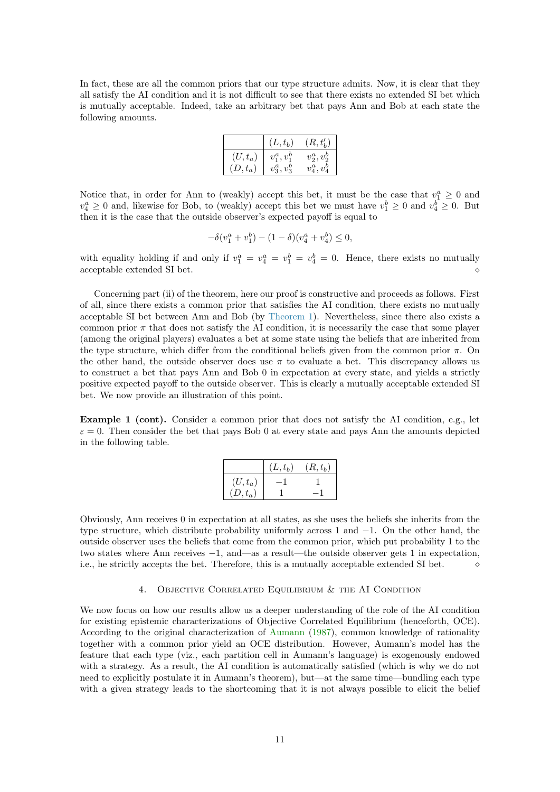<span id="page-10-1"></span>In fact, these are all the common priors that our type structure admits. Now, it is clear that they all satisfy the AI condition and it is not difficult to see that there exists no extended SI bet which is mutually acceptable. Indeed, take an arbitrary bet that pays Ann and Bob at each state the following amounts.

|           | $(L,t_b)$      | $(R, t'_{h})$                    |
|-----------|----------------|----------------------------------|
| $(U,t_a)$ | $v_1^a, v_1^b$ | $v_2^a, v_2^b$                   |
| $(D,t_a)$ | $v_3^a, v_3^b$ | $\eta$ <sup>U</sup><br>$v_4^u$ . |

Notice that, in order for Ann to (weakly) accept this bet, it must be the case that  $v_1^a \geq 0$  and  $v_4^a \geq 0$  and, likewise for Bob, to (weakly) accept this bet we must have  $v_1^b \geq 0$  and  $v_4^b \geq 0$ . But then it is the case that the outside observer's expected payoff is equal to

$$
-\delta(v_1^a + v_1^b) - (1 - \delta)(v_4^a + v_4^b) \le 0,
$$

with equality holding if and only if  $v_1^a = v_4^a = v_1^b = v_4^b = 0$ . Hence, there exists no mutually acceptable extended SI bet.  $\hfill \diamond$ 

Concerning part (ii) of the theorem, here our proof is constructive and proceeds as follows. First of all, since there exists a common prior that satisfies the AI condition, there exists no mutually acceptable SI bet between Ann and Bob (by [Theorem 1\)](#page-6-0). Nevertheless, since there also exists a common prior  $\pi$  that does not satisfy the AI condition, it is necessarily the case that some player (among the original players) evaluates a bet at some state using the beliefs that are inherited from the type structure, which differ from the conditional beliefs given from the common prior  $\pi$ . On the other hand, the outside observer does use  $\pi$  to evaluate a bet. This discrepancy allows us to construct a bet that pays Ann and Bob 0 in expectation at every state, and yields a strictly positive expected payoff to the outside observer. This is clearly a mutually acceptable extended SI bet. We now provide an illustration of this point.

Example 1 (cont). Consider a common prior that does not satisfy the AI condition, e.g., let  $\varepsilon = 0$ . Then consider the bet that pays Bob 0 at every state and pays Ann the amounts depicted in the following table.

|           | $(L,t_b)$ | $(R, t_b)$ |
|-----------|-----------|------------|
| $(U,t_a)$ |           |            |
| $(D,t_a)$ |           |            |

Obviously, Ann receives 0 in expectation at all states, as she uses the beliefs she inherits from the type structure, which distribute probability uniformly across 1 and −1. On the other hand, the outside observer uses the beliefs that come from the common prior, which put probability 1 to the two states where Ann receives −1, and—as a result—the outside observer gets 1 in expectation, i.e., he strictly accepts the bet. Therefore, this is a mutually acceptable extended SI bet.

#### 4. Objective Correlated Equilibrium & the AI Condition

<span id="page-10-0"></span>We now focus on how our results allow us a deeper understanding of the role of the AI condition for existing epistemic characterizations of Objective Correlated Equilibrium (henceforth, OCE). According to the original characterization of [Aumann](#page-16-4) [\(1987\)](#page-16-4), common knowledge of rationality together with a common prior yield an OCE distribution. However, Aumann's model has the feature that each type (viz., each partition cell in Aumann's language) is exogenously endowed with a strategy. As a result, the AI condition is automatically satisfied (which is why we do not need to explicitly postulate it in Aumann's theorem), but—at the same time—bundling each type with a given strategy leads to the shortcoming that it is not always possible to elicit the belief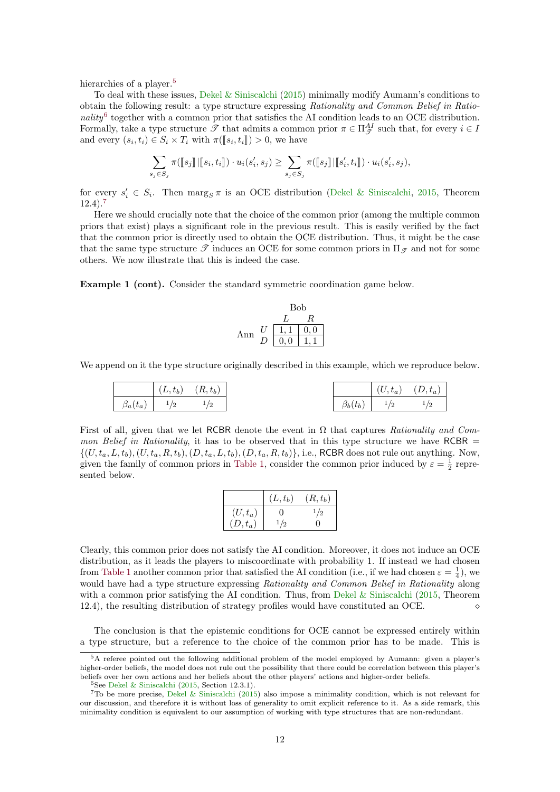<span id="page-11-3"></span>hierarchies of a player.<sup>[5](#page-11-0)</sup>

To deal with these issues, [Dekel & Siniscalchi](#page-16-0) [\(2015\)](#page-16-0) minimally modify Aumann's conditions to obtain the following result: a type structure expressing Rationality and Common Belief in Ratio-nality<sup>[6](#page-11-1)</sup> together with a common prior that satisfies the AI condition leads to an OCE distribution. Formally, take a type structure  $\mathscr{T}$  that admits a common prior  $\pi \in \Pi_{\mathscr{T}}^{AI}$  such that, for every  $i \in I$ and every  $(s_i, t_i) \in S_i \times T_i$  with  $\pi([\![s_i, t_i]\!]) > 0$ , we have

$$
\sum_{s_j \in S_j} \pi([\![s_j]\!][[\![s_i, t_i]\!]) \cdot u_i(s'_i, s_j) \ge \sum_{s_j \in S_j} \pi([\![s_j]\!][[\![s'_i, t_i]\!]) \cdot u_i(s'_i, s_j),
$$

for every  $s_i' \in S_i$ . Then  $\text{marg}_S \pi$  is an OCE distribution [\(Dekel & Siniscalchi,](#page-16-0) [2015,](#page-16-0) Theorem  $12.4$ ).<sup>[7](#page-11-2)</sup>

Here we should crucially note that the choice of the common prior (among the multiple common priors that exist) plays a significant role in the previous result. This is easily verified by the fact that the common prior is directly used to obtain the OCE distribution. Thus, it might be the case that the same type structure  $\mathscr T$  induces an OCE for some common priors in  $\Pi_{\mathscr T}$  and not for some others. We now illustrate that this is indeed the case.

Example 1 (cont). Consider the standard symmetric coordination game below.

Bob  
\n
$$
\begin{array}{c|c}\n & L & R \\
\hline\nL & R & \\
\hline\nD & 0,0 & 1,1\n\end{array}
$$

We append on it the type structure originally described in this example, which we reproduce below.

$$
\begin{array}{|c|c|c|c|c|} \hline & (L, t_b) & (R, t_b) & \\ \hline & \beta_a(t_a) & ^{1\!2} & ^{1\!2} & \\ \hline \end{array}
$$

First of all, given that we let RCBR denote the event in  $\Omega$  that captures Rationality and Common Belief in Rationality, it has to be observed that in this type structure we have RCBR  $=$  $\{(U, t_a, L, t_b), (U, t_a, R, t_b), (D, t_a, L, t_b), (D, t_a, R, t_b)\},$  i.e., RCBR does not rule out anything. Now, given the family of common priors in [Table 1,](#page-3-1) consider the common prior induced by  $\varepsilon = \frac{1}{2}$  represented below.

|           | $(L,t_b)$ | $(R, t_b)$ |
|-----------|-----------|------------|
| $(U,t_a)$ | 0         | 1/2        |
| $(D,t_a)$ | 1/2       | ' '        |

Clearly, this common prior does not satisfy the AI condition. Moreover, it does not induce an OCE distribution, as it leads the players to miscoordinate with probability 1. If instead we had chosen from [Table 1](#page-3-1) another common prior that satisfied the AI condition (i.e., if we had chosen  $\varepsilon = \frac{1}{4}$ ), we would have had a type structure expressing Rationality and Common Belief in Rationality along with a common prior satisfying the AI condition. Thus, from [Dekel & Siniscalchi](#page-16-0) [\(2015,](#page-16-0) Theorem 12.4), the resulting distribution of strategy profiles would have constituted an OCE.

The conclusion is that the epistemic conditions for OCE cannot be expressed entirely within a type structure, but a reference to the choice of the common prior has to be made. This is

<span id="page-11-0"></span><sup>5</sup>A referee pointed out the following additional problem of the model employed by Aumann: given a player's higher-order beliefs, the model does not rule out the possibility that there could be correlation between this player's beliefs over her own actions and her beliefs about the other players' actions and higher-order beliefs.

<span id="page-11-2"></span><span id="page-11-1"></span> $6$ See [Dekel & Siniscalchi](#page-16-0) [\(2015,](#page-16-0) Section 12.3.1).

<sup>7</sup>To be more precise, [Dekel & Siniscalchi](#page-16-0) [\(2015\)](#page-16-0) also impose a minimality condition, which is not relevant for our discussion, and therefore it is without loss of generality to omit explicit reference to it. As a side remark, this minimality condition is equivalent to our assumption of working with type structures that are non-redundant.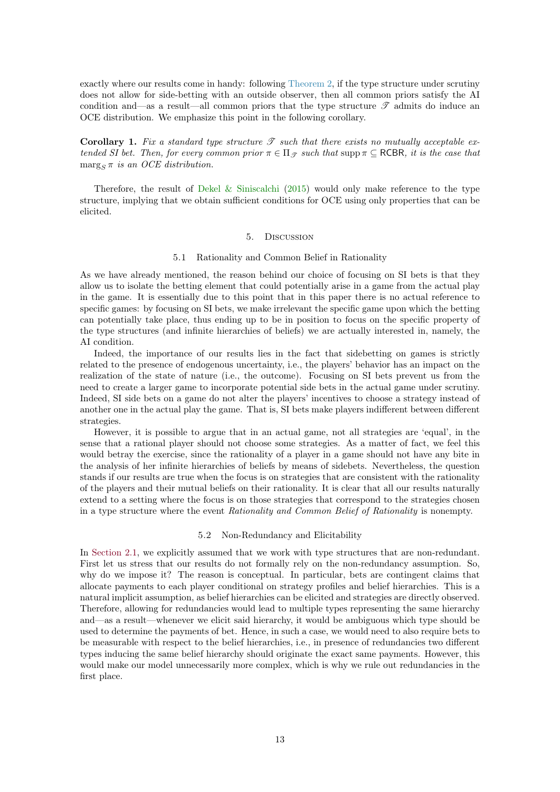<span id="page-12-2"></span>exactly where our results come in handy: following [Theorem 2,](#page-9-0) if the type structure under scrutiny does not allow for side-betting with an outside observer, then all common priors satisfy the AI condition and—as a result—all common priors that the type structure  $\mathscr T$  admits do induce an OCE distribution. We emphasize this point in the following corollary.

**Corollary 1.** Fix a standard type structure  $\mathscr T$  such that there exists no mutually acceptable extended SI bet. Then, for every common prior  $\pi \in \Pi_{\mathcal{T}}$  such that supp  $\pi \subset \text{RCBR}$ , it is the case that  $\max_{S} \pi$  is an OCE distribution.

Therefore, the result of [Dekel & Siniscalchi](#page-16-0) [\(2015\)](#page-16-0) would only make reference to the type structure, implying that we obtain sufficient conditions for OCE using only properties that can be elicited.

#### 5. Discussion

#### 5.1 Rationality and Common Belief in Rationality

<span id="page-12-0"></span>As we have already mentioned, the reason behind our choice of focusing on SI bets is that they allow us to isolate the betting element that could potentially arise in a game from the actual play in the game. It is essentially due to this point that in this paper there is no actual reference to specific games: by focusing on SI bets, we make irrelevant the specific game upon which the betting can potentially take place, thus ending up to be in position to focus on the specific property of the type structures (and infinite hierarchies of beliefs) we are actually interested in, namely, the AI condition.

Indeed, the importance of our results lies in the fact that sidebetting on games is strictly related to the presence of endogenous uncertainty, i.e., the players' behavior has an impact on the realization of the state of nature (i.e., the outcome). Focusing on SI bets prevent us from the need to create a larger game to incorporate potential side bets in the actual game under scrutiny. Indeed, SI side bets on a game do not alter the players' incentives to choose a strategy instead of another one in the actual play the game. That is, SI bets make players indifferent between different strategies.

However, it is possible to argue that in an actual game, not all strategies are 'equal', in the sense that a rational player should not choose some strategies. As a matter of fact, we feel this would betray the exercise, since the rationality of a player in a game should not have any bite in the analysis of her infinite hierarchies of beliefs by means of sidebets. Nevertheless, the question stands if our results are true when the focus is on strategies that are consistent with the rationality of the players and their mutual beliefs on their rationality. It is clear that all our results naturally extend to a setting where the focus is on those strategies that correspond to the strategies chosen in a type structure where the event Rationality and Common Belief of Rationality is nonempty.

#### 5.2 Non-Redundancy and Elicitability

<span id="page-12-1"></span>In [Section 2.1,](#page-2-1) we explicitly assumed that we work with type structures that are non-redundant. First let us stress that our results do not formally rely on the non-redundancy assumption. So, why do we impose it? The reason is conceptual. In particular, bets are contingent claims that allocate payments to each player conditional on strategy profiles and belief hierarchies. This is a natural implicit assumption, as belief hierarchies can be elicited and strategies are directly observed. Therefore, allowing for redundancies would lead to multiple types representing the same hierarchy and—as a result—whenever we elicit said hierarchy, it would be ambiguous which type should be used to determine the payments of bet. Hence, in such a case, we would need to also require bets to be measurable with respect to the belief hierarchies, i.e., in presence of redundancies two different types inducing the same belief hierarchy should originate the exact same payments. However, this would make our model unnecessarily more complex, which is why we rule out redundancies in the first place.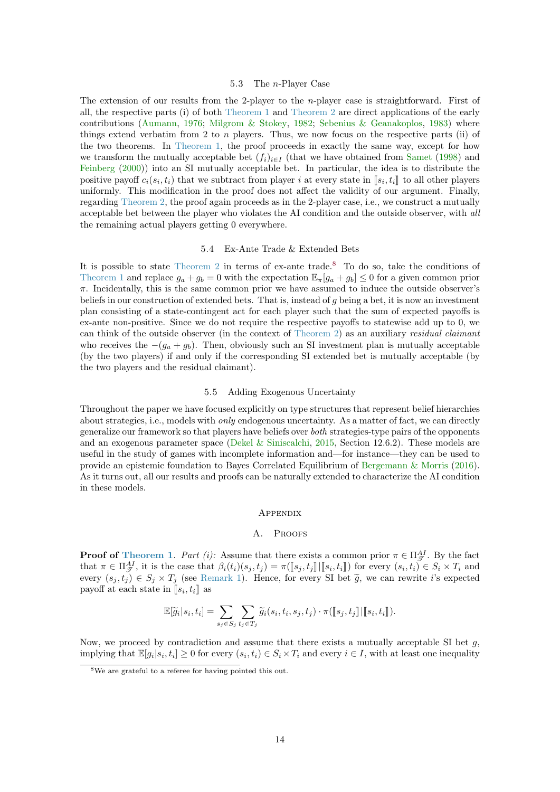#### 5.3 The n-Player Case

<span id="page-13-2"></span>The extension of our results from the 2-player to the *n*-player case is straightforward. First of all, the respective parts (i) of both [Theorem 1](#page-6-0) and [Theorem 2](#page-9-0) are direct applications of the early contributions [\(Aumann,](#page-16-3) [1976;](#page-16-3) [Milgrom & Stokey,](#page-16-13) [1982;](#page-16-13) [Sebenius & Geanakoplos,](#page-16-14) [1983\)](#page-16-14) where things extend verbatim from 2 to n players. Thus, we now focus on the respective parts (ii) of the two theorems. In [Theorem 1,](#page-6-0) the proof proceeds in exactly the same way, except for how we transform the mutually acceptable bet  $(f_i)_{i\in I}$  (that we have obtained from [Samet](#page-16-16) [\(1998\)](#page-16-16) and [Feinberg](#page-16-17) [\(2000\)](#page-16-17)) into an SI mutually acceptable bet. In particular, the idea is to distribute the positive payoff  $c_i(s_i, t_i)$  that we subtract from player *i* at every state in  $[s_i, t_i]$  to all other players<br>uniformly. This modification in the proof does not effect the velidity of our exament. Finally uniformly. This modification in the proof does not affect the validity of our argument. Finally, regarding [Theorem 2,](#page-9-0) the proof again proceeds as in the 2-player case, i.e., we construct a mutually acceptable bet between the player who violates the AI condition and the outside observer, with all the remaining actual players getting 0 everywhere.

# 5.4 Ex-Ante Trade & Extended Bets

It is possible to state [Theorem 2](#page-9-0) in terms of ex-ante trade.<sup>[8](#page-13-1)</sup> To do so, take the conditions of [Theorem 1](#page-6-0) and replace  $g_a + g_b = 0$  with the expectation  $\mathbb{E}_{\pi}[g_a + g_b] \leq 0$  for a given common prior  $\pi$ . Incidentally, this is the same common prior we have assumed to induce the outside observer's beliefs in our construction of extended bets. That is, instead of g being a bet, it is now an investment plan consisting of a state-contingent act for each player such that the sum of expected payoffs is ex-ante non-positive. Since we do not require the respective payoffs to statewise add up to 0, we can think of the outside observer (in the context of [Theorem 2\)](#page-9-0) as an auxiliary residual claimant who receives the  $-(g_a + g_b)$ . Then, obviously such an SI investment plan is mutually acceptable (by the two players) if and only if the corresponding SI extended bet is mutually acceptable (by the two players and the residual claimant).

### 5.5 Adding Exogenous Uncertainty

Throughout the paper we have focused explicitly on type structures that represent belief hierarchies about strategies, i.e., models with *only* endogenous uncertainty. As a matter of fact, we can directly generalize our framework so that players have beliefs over both strategies-type pairs of the opponents and an exogenous parameter space [\(Dekel & Siniscalchi,](#page-16-0) [2015,](#page-16-0) Section 12.6.2). These models are useful in the study of games with incomplete information and—for instance—they can be used to provide an epistemic foundation to Bayes Correlated Equilibrium of [Bergemann & Morris](#page-16-11) [\(2016\)](#page-16-11). As it turns out, all our results and proofs can be naturally extended to characterize the AI condition in these models.

# **APPENDIX**

# A. PROOFS

<span id="page-13-0"></span>**Proof of [Theorem 1](#page-6-0).** Part (i): Assume that there exists a common prior  $\pi \in \Pi_{\mathcal{T}}^{AI}$ . By the fact that  $\pi \in \Pi_{\mathcal{F}}^{\mathcal{A}I}$ , it is the case that  $\beta_i(t_i)(s_j, t_j) = \pi([\![s_j, t_j]\!] \cdot [\![s_i, t_i]\!]$  for every  $(s_i, t_i) \in S_i \times T_i$  and<br>gyory  $(s_i, t_i) \in S_i \times T_i$  (see Bomark 1). Hones for every  $\mathcal{S}_i$  bet  $\widetilde{\alpha}$  we see rewrite its exp every  $(s_j, t_j) \in S_j \times T_j$  (see [Remark 1\)](#page-4-0). Hence, for every SI bet  $\tilde{g}$ , we can rewrite i's expected payoff at each state in  $[s_i, t_i]$  as

$$
\mathbb{E}[\widetilde{g}_i|s_i,t_i] = \sum_{s_j \in S_j} \sum_{t_j \in T_j} \widetilde{g}_i(s_i,t_i,s_j,t_j) \cdot \pi([\![s_j,t_j]\!][\![s_i,t_i]\!]).
$$

Now, we proceed by contradiction and assume that there exists a mutually acceptable SI bet  $g$ , implying that  $\mathbb{E}[g_i|s_i,t_i] \geq 0$  for every  $(s_i,t_i) \in S_i \times T_i$  and every  $i \in I$ , with at least one inequality

<span id="page-13-1"></span><sup>8</sup>We are grateful to a referee for having pointed this out.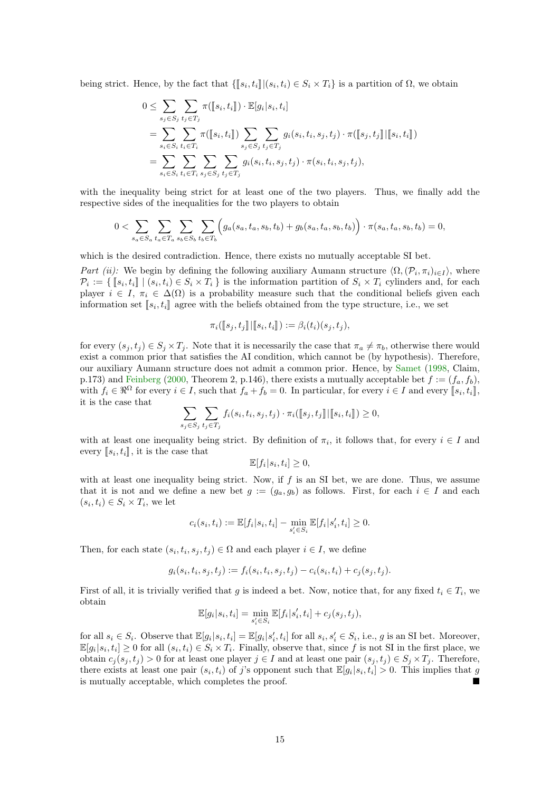<span id="page-14-0"></span>being strict. Hence, by the fact that  $\{\llbracket s_i, t_i \rrbracket | (s_i, t_i) \in S_i \times T_i\}$  is a partition of  $\Omega$ , we obtain

$$
0 \leq \sum_{s_j \in S_j} \sum_{t_j \in T_j} \pi([\![s_i, t_i]\!]) \cdot \mathbb{E}[g_i | s_i, t_i]
$$
  
= 
$$
\sum_{s_i \in S_i} \sum_{t_i \in T_i} \pi([\![s_i, t_i]\!]) \sum_{s_j \in S_j} \sum_{t_j \in T_j} g_i(s_i, t_i, s_j, t_j) \cdot \pi([\![s_j, t_j]\!]) [\![s_i, t_i]\!])
$$
  
= 
$$
\sum_{s_i \in S_i} \sum_{t_i \in T_i} \sum_{s_j \in S_j} \sum_{t_j \in T_j} g_i(s_i, t_i, s_j, t_j) \cdot \pi(s_i, t_i, s_j, t_j),
$$

with the inequality being strict for at least one of the two players. Thus, we finally add the respective sides of the inequalities for the two players to obtain

$$
0 < \sum_{s_a \in S_a} \sum_{t_a \in T_a} \sum_{s_b \in S_b} \sum_{t_b \in T_b} \left( g_a(s_a, t_a, s_b, t_b) + g_b(s_a, t_a, s_b, t_b) \right) \cdot \pi(s_a, t_a, s_b, t_b) = 0,
$$

which is the desired contradiction. Hence, there exists no mutually acceptable SI bet.

Part (ii): We begin by defining the following auxiliary Aumann structure  $\langle \Omega, (\mathcal{P}_i, \pi_i)_{i \in I} \rangle$ , where  $\mathcal{P}_i := \{ [\![s_i, t_i]\!] \mid (s_i, t_i) \in S_i \times T_i \}$  is the information partition of  $S_i \times T_i$  cylinders and, for each player  $i \in I$ ,  $\pi \in \Delta(\Omega)$  is a probability measure such that the conditional beliefs given each player  $i \in I$ ,  $\pi_i \in \Delta(\Omega)$  is a probability measure such that the conditional beliefs given each information set  $[s_i, t_i]$  agree with the beliefs obtained from the type structure, i.e., we set

$$
\pi_i([s_j, t_j] \,|\, [s_i, t_i]) := \beta_i(t_i)(s_j, t_j),
$$

for every  $(s_j, t_j) \in S_j \times T_j$ . Note that it is necessarily the case that  $\pi_a \neq \pi_b$ , otherwise there would exist a common prior that satisfies the AI condition, which cannot be (by hypothesis). Therefore, our auxiliary Aumann structure does not admit a common prior. Hence, by [Samet](#page-16-16) [\(1998,](#page-16-16) Claim, p.173) and [Feinberg](#page-16-17) [\(2000,](#page-16-17) Theorem 2, p.146), there exists a mutually acceptable bet  $f := (f_a, f_b)$ . with  $f_i \in \mathbb{R}^{\Omega}$  for every  $i \in I$ , such that  $f_a + f_b = 0$ . In particular, for every  $i \in I$  and every  $[[s_i, t_i]]$ , it is the case that it is the case that

$$
\sum_{s_j \in S_j} \sum_{t_j \in T_j} f_i(s_i, t_i, s_j, t_j) \cdot \pi_i([\![s_j, t_j]\!][\![s_i, t_i]\!]) \geq 0,
$$

with at least one inequality being strict. By definition of  $\pi_i$ , it follows that, for every  $i \in I$  and every  $[s_i, t_i]$ , it is the case that

$$
\mathbb{E}[f_i|s_i, t_i] \ge 0,
$$

with at least one inequality being strict. Now, if  $f$  is an SI bet, we are done. Thus, we assume that it is not and we define a new bet  $g := (g_a, g_b)$  as follows. First, for each  $i \in I$  and each  $(s_i, t_i) \in S_i \times T_i$ , we let

$$
c_i(s_i,t_i):=\mathbb{E}[f_i|s_i,t_i]-\min_{s_i'\in S_i}\mathbb{E}[f_i|s_i',t_i]\geq 0.
$$

Then, for each state  $(s_i, t_i, s_j, t_j) \in \Omega$  and each player  $i \in I$ , we define

$$
g_i(s_i, t_i, s_j, t_j) := f_i(s_i, t_i, s_j, t_j) - c_i(s_i, t_i) + c_j(s_j, t_j).
$$

First of all, it is trivially verified that g is indeed a bet. Now, notice that, for any fixed  $t_i \in T_i$ , we obtain

$$
\mathbb{E}[g_i|s_i,t_i] = \min_{s_i' \in S_i} \mathbb{E}[f_i|s_i',t_i] + c_j(s_j,t_j),
$$

for all  $s_i \in S_i$ . Observe that  $\mathbb{E}[g_i|s_i,t_i] = \mathbb{E}[g_i|s'_i,t_i]$  for all  $s_i,s'_i \in S_i$ , i.e., g is an SI bet. Moreover,  $\mathbb{E}[g_i|s_i,t_i] \geq 0$  for all  $(s_i,t_i) \in S_i \times T_i$ . Finally, observe that, since f is not SI in the first place, we obtain  $c_i(s_i, t_i) > 0$  for at least one player  $j \in I$  and at least one pair  $(s_i, t_i) \in S_i \times T_i$ . Therefore, there exists at least one pair  $(s_i, t_i)$  of j's opponent such that  $\mathbb{E}[g_i|s_i, t_i] > 0$ . This implies that g is mutually acceptable, which completes the proof.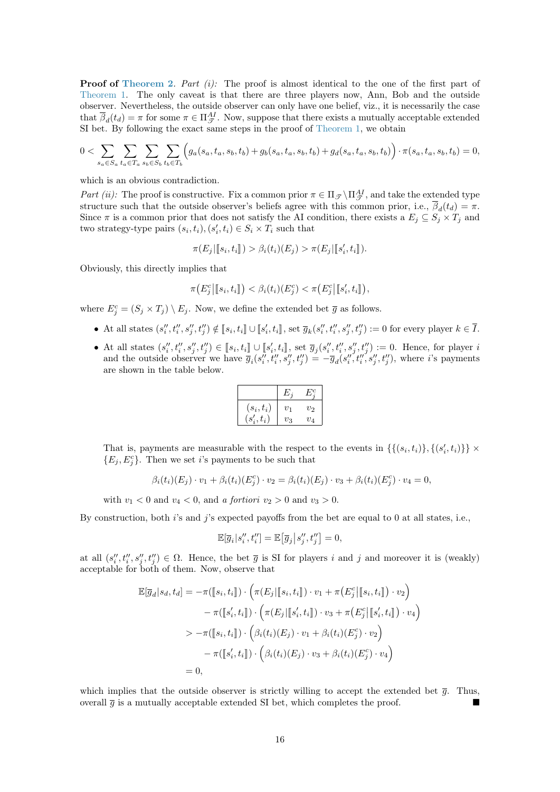**Proof of [Theorem 2](#page-9-0).** Part  $(i)$ : The proof is almost identical to the one of the first part of [Theorem 1.](#page-6-0) The only caveat is that there are three players now, Ann, Bob and the outside observer. Nevertheless, the outside observer can only have one belief, viz., it is necessarily the case that  $\overline{\beta}_d(t_d) = \pi$  for some  $\pi \in \Pi_{\mathcal{T}}^{AI}$ . Now, suppose that there exists a mutually acceptable extended SI bet. By following the exact same steps in the proof of [Theorem 1,](#page-6-0) we obtain

$$
0 < \sum_{s_a \in S_a} \sum_{t_a \in T_a} \sum_{s_b \in S_b} \sum_{t_b \in T_b} \left( g_a(s_a, t_a, s_b, t_b) + g_b(s_a, t_a, s_b, t_b) + g_d(s_a, t_a, s_b, t_b) \right) \cdot \pi(s_a, t_a, s_b, t_b) = 0,
$$

which is an obvious contradiction.

Part (ii): The proof is constructive. Fix a common prior  $\pi \in \Pi_{\mathscr{T}} \setminus \Pi_{\mathscr{T}}^{AI}$ , and take the extended type structure such that the outside observer's beliefs agree with this common prior, i.e.,  $\beta_d(t_d) = \pi$ . Since  $\pi$  is a common prior that does not satisfy the AI condition, there exists a  $E_j \subseteq S_j \times T_j$  and two strategy-type pairs  $(s_i, t_i), (s'_i, t_i) \in S_i \times T_i$  such that

$$
\pi(E_j | [s_i, t_i]) > \beta_i(t_i)(E_j) > \pi(E_j | [s'_i, t_i]).
$$

Obviously, this directly implies that

$$
\pi\big(E_j^c\big|\big[s_i,t_i\big]\big)<\beta_i(t_i)(E_j^c)<\pi\big(E_j^c\big|\big[s_i',t_i\big]\big),
$$

where  $E_j^c = (S_j \times T_j) \setminus E_j$ . Now, we define the extended bet  $\overline{g}$  as follows.

- At all states  $(s_i'', t_i'', s_j'', t_j'') \notin [s_i, t_i] \cup [s_i', t_i]$ , set  $\overline{g}_k(s_i'', t_i'', s_j'', t_j'') := 0$  for every player  $k \in \overline{I}$ .
- At all states  $(s''_i, t''_i, s''_j, t''_j) \in [s_i, t_i] \cup [s'_i, t_i]$ , set  $\overline{g}_j(s''_i, t''_i, s''_j, t''_j) := 0$ . Hence, for player is and the outside observer we have  $\overline{g}_i(s_i'', t_i'', s_j'', t_j'') = -\overline{g}_d(s_i'', t_i'', s_j'', t_j'')$ , where i's payments are shown in the table below.

|              | E       | $L^1C$ |
|--------------|---------|--------|
| $(s_i,t_i)$  | $v_1$   | $v_2$  |
| $(s'_i,t_i)$ | $v_{3}$ | $v_4$  |

That is, payments are measurable with the respect to the events in  $\{\{(s_i,t_i)\},\{(s'_i,t_i)\}\}\times$  ${E_j, E_j^c}$ . Then we set *i*'s payments to be such that

$$
\beta_i(t_i)(E_j) \cdot v_1 + \beta_i(t_i)(E_j^c) \cdot v_2 = \beta_i(t_i)(E_j) \cdot v_3 + \beta_i(t_i)(E_j^c) \cdot v_4 = 0,
$$

with  $v_1 < 0$  and  $v_4 < 0$ , and a fortiori  $v_2 > 0$  and  $v_3 > 0$ .

By construction, both  $i$ 's and  $j$ 's expected payoffs from the bet are equal to 0 at all states, i.e.,

$$
\mathbb{E}[\overline{g}_i|s_i'',t_i''] = \mathbb{E}\big[\overline{g}_j\big|s_j'',t_j''\big] = 0,
$$

at all  $(s''_i, t''_i, s''_j, t''_j) \in \Omega$ . Hence, the bet  $\overline{g}$  is SI for players i and j and moreover it is (weakly) acceptable for both of them. Now, observe that

$$
\mathbb{E}[\overline{g}_d|s_d, t_d] = -\pi([\![s_i, t_i]\!]) \cdot \left(\pi(E_j | [\![s_i, t_i]\!]) \cdot v_1 + \pi(E_j^c | [\![s_i, t_i]\!]) \cdot v_2\right) \n- \pi([\![s'_i, t_i]\!]) \cdot \left(\pi(E_j | [\![s'_i, t_i]\!]) \cdot v_3 + \pi(E_j^c | [\![s'_i, t_i]\!]) \cdot v_4\right) \n> - \pi([\![s_i, t_i]\!]) \cdot \left(\beta_i(t_i)(E_j) \cdot v_1 + \beta_i(t_i)(E_j^c) \cdot v_2\right) \n- \pi([\![s'_i, t_i]\!]) \cdot \left(\beta_i(t_i)(E_j) \cdot v_3 + \beta_i(t_i)(E_j^c) \cdot v_4\right) \n= 0,
$$

which implies that the outside observer is strictly willing to accept the extended bet  $\bar{q}$ . Thus, overall  $\bar{q}$  is a mutually acceptable extended SI bet, which completes the proof.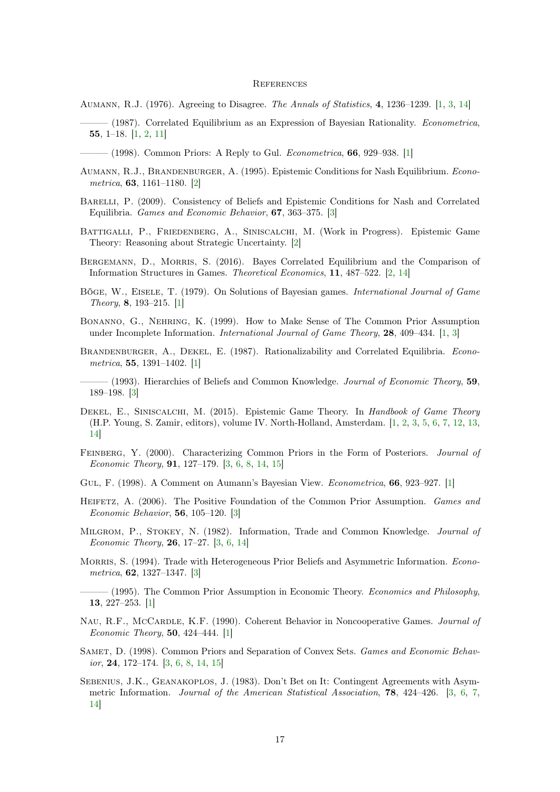#### **REFERENCES**

- <span id="page-16-3"></span>Aumann, R.J. (1976). Agreeing to Disagree. The Annals of Statistics, 4, 1236–1239. [\[1,](#page-0-1) [3,](#page-2-2) [14\]](#page-13-2)
- <span id="page-16-4"></span> $-$  (1987). Correlated Equilibrium as an Expression of Bayesian Rationality. *Econometrica*, 55, 1–18. [\[1,](#page-0-1) [2,](#page-1-3) [11\]](#page-10-1)
- <span id="page-16-5"></span> $-$  (1998). Common Priors: A Reply to Gul. *Econometrica*, **66**, 929–938. [\[1\]](#page-0-1)
- <span id="page-16-10"></span>Aumann, R.J., Brandenburger, A. (1995). Epistemic Conditions for Nash Equilibrium. Econometrica, 63, 1161–1180. [\[2\]](#page-1-3)
- <span id="page-16-19"></span>Barelli, P. (2009). Consistency of Beliefs and Epistemic Conditions for Nash and Correlated Equilibria. Games and Economic Behavior, 67, 363–375. [\[3\]](#page-2-2)
- <span id="page-16-12"></span>Battigalli, P., Friedenberg, A., Siniscalchi, M. (Work in Progress). Epistemic Game Theory: Reasoning about Strategic Uncertainty. [\[2\]](#page-1-3)
- <span id="page-16-11"></span>Bergemann, D., Morris, S. (2016). Bayes Correlated Equilibrium and the Comparison of Information Structures in Games. Theoretical Economics, 11, 487–522. [\[2,](#page-1-3) [14\]](#page-13-2)
- <span id="page-16-1"></span>Böge, W., Eisele, T. (1979). On Solutions of Bayesian games. International Journal of Game Theory, 8, 193–215. [\[1\]](#page-0-1)
- <span id="page-16-8"></span>Bonanno, G., Nehring, K. (1999). How to Make Sense of The Common Prior Assumption under Incomplete Information. *International Journal of Game Theory*, **28**, 409–434. [\[1,](#page-0-1) [3\]](#page-2-2)
- <span id="page-16-2"></span>BRANDENBURGER, A., DEKEL, E. (1987). Rationalizability and Correlated Equilibria. Econometrica, 55, 1391–1402. [\[1\]](#page-0-1)
- <span id="page-16-20"></span> $-$  (1993). Hierarchies of Beliefs and Common Knowledge. *Journal of Economic Theory*, 59, 189–198. [\[3\]](#page-2-2)
- <span id="page-16-0"></span>DEKEL, E., SINISCALCHI, M. (2015). Epistemic Game Theory. In Handbook of Game Theory (H.P. Young, S. Zamir, editors), volume IV. North-Holland, Amsterdam. [\[1,](#page-0-1) [2,](#page-1-3) [3,](#page-2-2) [5,](#page-4-1) [6,](#page-5-0) [7,](#page-6-2) [12,](#page-11-3) [13,](#page-12-2) [14\]](#page-13-2)
- <span id="page-16-17"></span>Feinberg, Y. (2000). Characterizing Common Priors in the Form of Posteriors. Journal of Economic Theory, 91, 127–179. [\[3,](#page-2-2) [6,](#page-5-0) [8,](#page-7-0) [14,](#page-13-2) [15\]](#page-14-0)
- <span id="page-16-7"></span>GUL, F. (1998). A Comment on Aumann's Bayesian View. *Econometrica*, **66**, 923–927. [\[1\]](#page-0-1)
- <span id="page-16-18"></span>HEIFETZ, A. (2006). The Positive Foundation of the Common Prior Assumption. Games and Economic Behavior, 56, 105–120. [\[3\]](#page-2-2)
- <span id="page-16-13"></span>Milgrom, P., Stokey, N. (1982). Information, Trade and Common Knowledge. Journal of Economic Theory, 26, 17–27. [\[3,](#page-2-2) [6,](#page-5-0) [14\]](#page-13-2)
- <span id="page-16-15"></span>MORRIS, S. (1994). Trade with Heterogeneous Prior Beliefs and Asymmetric Information. Econometrica, 62, 1327–1347. [\[3\]](#page-2-2)
- <span id="page-16-9"></span>——— (1995). The Common Prior Assumption in Economic Theory. Economics and Philosophy, 13, 227–253. [\[1\]](#page-0-1)
- <span id="page-16-6"></span>NAU, R.F., McCARDLE, K.F. (1990). Coherent Behavior in Noncooperative Games. Journal of Economic Theory, 50, 424–444. [\[1\]](#page-0-1)
- <span id="page-16-16"></span>SAMET, D. (1998). Common Priors and Separation of Convex Sets. Games and Economic Behavior, 24, 172–174. [\[3,](#page-2-2) [6,](#page-5-0) [8,](#page-7-0) [14,](#page-13-2) [15\]](#page-14-0)
- <span id="page-16-14"></span>SEBENIUS, J.K., GEANAKOPLOS, J. (1983). Don't Bet on It: Contingent Agreements with Asymmetric Information. Journal of the American Statistical Association, 78, 424–426. [\[3,](#page-2-2) [6,](#page-5-0) [7,](#page-6-2) [14\]](#page-13-2)